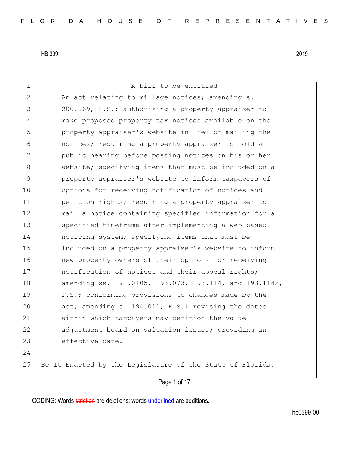Page 1 of 17 1 a bill to be entitled 2 An act relating to millage notices; amending s. 3 200.069, F.S.; authorizing a property appraiser to 4 make proposed property tax notices available on the 5 property appraiser's website in lieu of mailing the 6 notices; requiring a property appraiser to hold a 7 public hearing before posting notices on his or her 8 website; specifying items that must be included on a 9 property appraiser's website to inform taxpayers of 10 options for receiving notification of notices and 11 petition rights; requiring a property appraiser to 12 mail a notice containing specified information for a 13 specified timeframe after implementing a web-based 14 noticing system; specifying items that must be 15 included on a property appraiser's website to inform 16 16 new property owners of their options for receiving 17 17 notification of notices and their appeal rights; 18 amending ss. 192.0105, 193.073, 193.114, and 193.1142, 19 **F.S.;** conforming provisions to changes made by the 20 act; amending s. 194.011, F.S.; revising the dates 21 within which taxpayers may petition the value 22 adjustment board on valuation issues; providing an 23 effective date. 24 25 Be It Enacted by the Legislature of the State of Florida: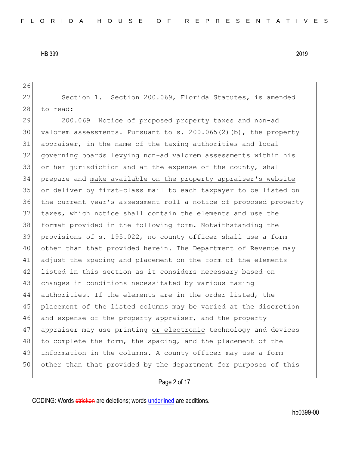26

27 Section 1. Section 200.069, Florida Statutes, is amended 28 to read: 200.069 Notice of proposed property taxes and non-ad 30 valorem assessments.—Pursuant to s.  $200.065(2)(b)$ , the property appraiser, in the name of the taxing authorities and local governing boards levying non-ad valorem assessments within his 33 or her jurisdiction and at the expense of the county, shall prepare and make available on the property appraiser's website or deliver by first-class mail to each taxpayer to be listed on the current year's assessment roll a notice of proposed property taxes, which notice shall contain the elements and use the format provided in the following form. Notwithstanding the provisions of s. 195.022, no county officer shall use a form other than that provided herein. The Department of Revenue may adjust the spacing and placement on the form of the elements 42 listed in this section as it considers necessary based on 43 changes in conditions necessitated by various taxing authorities. If the elements are in the order listed, the placement of the listed columns may be varied at the discretion 46 and expense of the property appraiser, and the property appraiser may use printing or electronic technology and devices 48 to complete the form, the spacing, and the placement of the information in the columns. A county officer may use a form other than that provided by the department for purposes of this

#### Page 2 of 17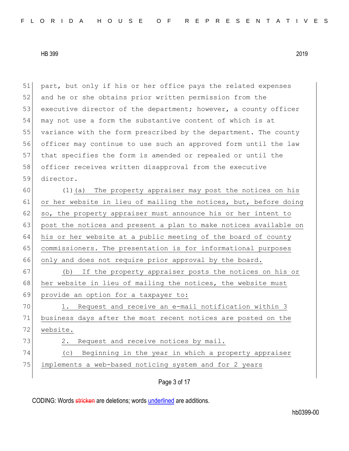51 part, but only if his or her office pays the related expenses 52 and he or she obtains prior written permission from the 53 executive director of the department; however, a county officer 54 may not use a form the substantive content of which is at 55 variance with the form prescribed by the department. The county 56 officer may continue to use such an approved form until the law 57 that specifies the form is amended or repealed or until the 58 officer receives written disapproval from the executive 59 director. 60 (1)(a) The property appraiser may post the notices on his 61 or her website in lieu of mailing the notices, but, before doing 62 so, the property appraiser must announce his or her intent to 63 post the notices and present a plan to make notices available on 64 his or her website at a public meeting of the board of county 65 commissioners. The presentation is for informational purposes 66 only and does not require prior approval by the board. 67 (b) If the property appraiser posts the notices on his or 68 her website in lieu of mailing the notices, the website must 69 provide an option for a taxpayer to: 70 1. Request and receive an e-mail notification within 3 71 business days after the most recent notices are posted on the 72 website. 73 2. Request and receive notices by mail. 74 (c) Beginning in the year in which a property appraiser 75 implements a web-based noticing system and for 2 years

Page 3 of 17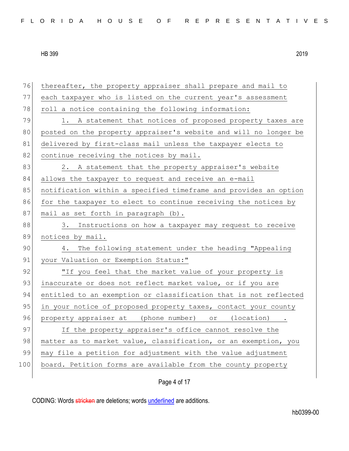| 76  | thereafter, the property appraiser shall prepare and mail to     |
|-----|------------------------------------------------------------------|
| 77  | each taxpayer who is listed on the current year's assessment     |
| 78  | roll a notice containing the following information:              |
| 79  | 1. A statement that notices of proposed property taxes are       |
| 80  | posted on the property appraiser's website and will no longer be |
| 81  | delivered by first-class mail unless the taxpayer elects to      |
| 82  | continue receiving the notices by mail.                          |
| 83  | 2. A statement that the property appraiser's website             |
| 84  | allows the taxpayer to request and receive an e-mail             |
| 85  | notification within a specified timeframe and provides an option |
| 86  | for the taxpayer to elect to continue receiving the notices by   |
| 87  | mail as set forth in paragraph (b).                              |
| 88  | 3. Instructions on how a taxpayer may request to receive         |
|     |                                                                  |
| 89  | notices by mail.                                                 |
| 90  | The following statement under the heading "Appealing<br>4.       |
| 91  | your Valuation or Exemption Status:"                             |
| 92  | "If you feel that the market value of your property is           |
| 93  | inaccurate or does not reflect market value, or if you are       |
| 94  | entitled to an exemption or classification that is not reflected |
| 95  | in your notice of proposed property taxes, contact your county   |
| 96  | property appraiser at (phone number) or (location).              |
| 97  | If the property appraiser's office cannot resolve the            |
| 98  | matter as to market value, classification, or an exemption, you  |
| 99  | may file a petition for adjustment with the value adjustment     |
| 100 | board. Petition forms are available from the county property     |

Page 4 of 17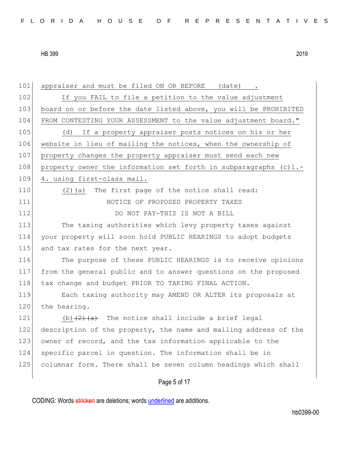| 101 | appraiser and must be filed ON OR BEFORE<br>(date)               |
|-----|------------------------------------------------------------------|
| 102 | If you FAIL to file a petition to the value adjustment           |
| 103 | board on or before the date listed above, you will be PROHIBITED |
| 104 | FROM CONTESTING YOUR ASSESSMENT to the value adjustment board."  |
| 105 | If a property appraiser posts notices on his or her<br>(d)       |
| 106 | website in lieu of mailing the notices, when the ownership of    |
| 107 | property changes the property appraiser must send each new       |
| 108 | property owner the information set forth in subparagraphs (c)1.- |
| 109 | 4. using first-class mail.                                       |
| 110 | The first page of the notice shall read:<br>(2) (a)              |
| 111 | NOTICE OF PROPOSED PROPERTY TAXES                                |
| 112 | DO NOT PAY-THIS IS NOT A BILL                                    |
| 113 | The taxing authorities which levy property taxes against         |
| 114 | your property will soon hold PUBLIC HEARINGS to adopt budgets    |
| 115 | and tax rates for the next year.                                 |
| 116 | The purpose of these PUBLIC HEARINGS is to receive opinions      |
| 117 | from the general public and to answer questions on the proposed  |
| 118 | tax change and budget PRIOR TO TAKING FINAL ACTION.              |
| 119 | Each taxing authority may AMEND OR ALTER its proposals at        |
| 120 | the hearing.                                                     |
| 121 | (b) $(2)$ $(a)$ The notice shall include a brief legal           |
| 122 | description of the property, the name and mailing address of the |
| 123 | owner of record, and the tax information applicable to the       |
| 124 | specific parcel in question. The information shall be in         |
| 125 | columnar form. There shall be seven column headings which shall  |
|     |                                                                  |
|     | Page 5 of 17                                                     |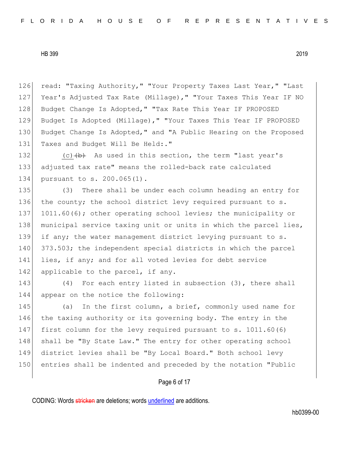126 read: "Taxing Authority," "Your Property Taxes Last Year," "Last 127 Year's Adjusted Tax Rate (Millage)," "Your Taxes This Year IF NO 128 Budget Change Is Adopted," "Tax Rate This Year IF PROPOSED 129 Budget Is Adopted (Millage)," "Your Taxes This Year IF PROPOSED 130 Budget Change Is Adopted," and "A Public Hearing on the Proposed 131 Taxes and Budget Will Be Held:."

132  $(c)$  (c)  $(b)$  As used in this section, the term "last year's 133 adjusted tax rate" means the rolled-back rate calculated 134 pursuant to s. 200.065(1).

135 (3) There shall be under each column heading an entry for 136 the county; the school district levy required pursuant to s. 137 1011.60(6); other operating school levies; the municipality or 138 municipal service taxing unit or units in which the parcel lies, 139 if any; the water management district levying pursuant to s. 140 373.503; the independent special districts in which the parcel 141 lies, if any; and for all voted levies for debt service 142 applicable to the parcel, if any.

143 (4) For each entry listed in subsection (3), there shall 144 appear on the notice the following:

145 (a) In the first column, a brief, commonly used name for 146 the taxing authority or its governing body. The entry in the 147 first column for the levy required pursuant to s. 1011.60(6) 148 shall be "By State Law." The entry for other operating school 149 district levies shall be "By Local Board." Both school levy 150 entries shall be indented and preceded by the notation "Public

# Page 6 of 17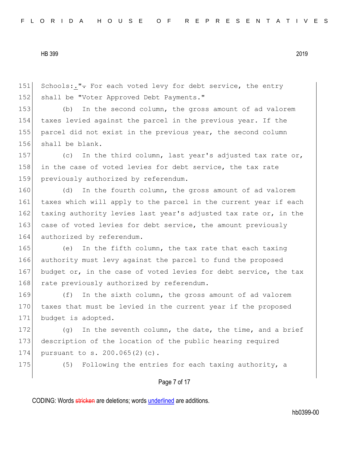151 Schools:." $\div$  For each voted levy for debt service, the entry 152 shall be "Voter Approved Debt Payments."

 (b) In the second column, the gross amount of ad valorem taxes levied against the parcel in the previous year. If the parcel did not exist in the previous year, the second column shall be blank.

157 (c) In the third column, last year's adjusted tax rate or, 158 in the case of voted levies for debt service, the tax rate 159 previously authorized by referendum.

160 (d) In the fourth column, the gross amount of ad valorem 161 taxes which will apply to the parcel in the current year if each 162 taxing authority levies last year's adjusted tax rate or, in the 163 case of voted levies for debt service, the amount previously 164 authorized by referendum.

165 (e) In the fifth column, the tax rate that each taxing 166 authority must levy against the parcel to fund the proposed 167 budget or, in the case of voted levies for debt service, the tax 168 rate previously authorized by referendum.

169 (f) In the sixth column, the gross amount of ad valorem 170 taxes that must be levied in the current year if the proposed 171 budget is adopted.

172  $(g)$  In the seventh column, the date, the time, and a brief 173 description of the location of the public hearing required 174 pursuant to s. 200.065(2)(c).

175 (5) Following the entries for each taxing authority, a

Page 7 of 17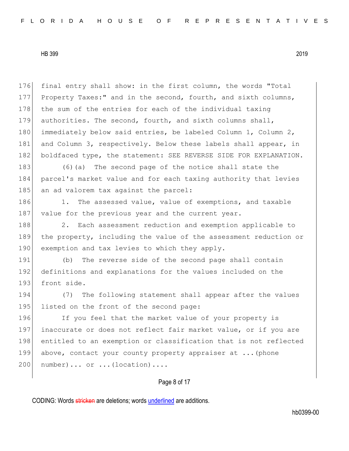176 final entry shall show: in the first column, the words "Total 177 Property Taxes:" and in the second, fourth, and sixth columns, 178 the sum of the entries for each of the individual taxing 179 authorities. The second, fourth, and sixth columns shall, 180 immediately below said entries, be labeled Column 1, Column 2, 181 and Column 3, respectively. Below these labels shall appear, in 182 boldfaced type, the statement: SEE REVERSE SIDE FOR EXPLANATION.

183 (6) (a) The second page of the notice shall state the 184 parcel's market value and for each taxing authority that levies 185 an ad valorem tax against the parcel:

186 1. The assessed value, value of exemptions, and taxable 187 value for the previous year and the current year.

188 2. Each assessment reduction and exemption applicable to 189 the property, including the value of the assessment reduction or 190 exemption and tax levies to which they apply.

191 (b) The reverse side of the second page shall contain 192 definitions and explanations for the values included on the 193 front side.

194 (7) The following statement shall appear after the values 195 listed on the front of the second page:

196 If you feel that the market value of your property is 197 inaccurate or does not reflect fair market value, or if you are 198 entitled to an exemption or classification that is not reflected 199 above, contact your county property appraiser at ... (phone  $200$  number)... or ... (location)....

# Page 8 of 17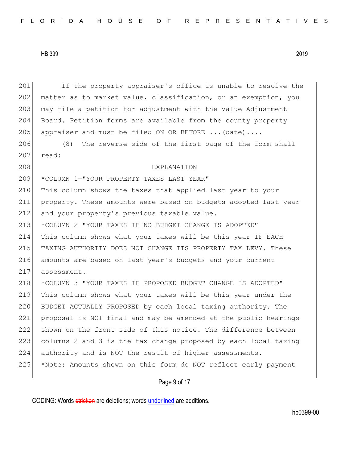201 If the property appraiser's office is unable to resolve the 202 matter as to market value, classification, or an exemption, you 203 may file a petition for adjustment with the Value Adjustment Board. Petition forms are available from the county property 205 appraiser and must be filed ON OR BEFORE  $\ldots$  (date)... 206 (8) The reverse side of the first page of the form shall 207 read: EXPLANATION \*COLUMN 1—"YOUR PROPERTY TAXES LAST YEAR" 210 This column shows the taxes that applied last year to your property. These amounts were based on budgets adopted last year 212 and your property's previous taxable value. \*COLUMN 2—"YOUR TAXES IF NO BUDGET CHANGE IS ADOPTED" This column shows what your taxes will be this year IF EACH TAXING AUTHORITY DOES NOT CHANGE ITS PROPERTY TAX LEVY. These amounts are based on last year's budgets and your current 217 assessment. \*COLUMN 3—"YOUR TAXES IF PROPOSED BUDGET CHANGE IS ADOPTED" This column shows what your taxes will be this year under the BUDGET ACTUALLY PROPOSED by each local taxing authority. The proposal is NOT final and may be amended at the public hearings shown on the front side of this notice. The difference between columns 2 and 3 is the tax change proposed by each local taxing authority and is NOT the result of higher assessments. \*Note: Amounts shown on this form do NOT reflect early payment

# Page 9 of 17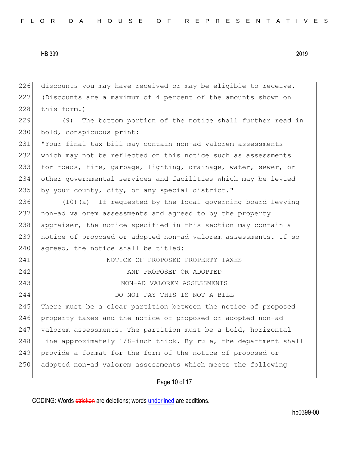discounts you may have received or may be eligible to receive. (Discounts are a maximum of 4 percent of the amounts shown on this form.) (9) The bottom portion of the notice shall further read in 230 bold, conspicuous print: "Your final tax bill may contain non-ad valorem assessments which may not be reflected on this notice such as assessments for roads, fire, garbage, lighting, drainage, water, sewer, or other governmental services and facilities which may be levied 235 by your county, city, or any special district." (10)(a) If requested by the local governing board levying non-ad valorem assessments and agreed to by the property 238 appraiser, the notice specified in this section may contain a notice of proposed or adopted non-ad valorem assessments. If so agreed, the notice shall be titled: NOTICE OF PROPOSED PROPERTY TAXES AND PROPOSED OR ADOPTED NON-AD VALOREM ASSESSMENTS DO NOT PAY—THIS IS NOT A BILL 245 There must be a clear partition between the notice of proposed property taxes and the notice of proposed or adopted non-ad 247 valorem assessments. The partition must be a bold, horizontal 248 line approximately  $1/8$ -inch thick. By rule, the department shall provide a format for the form of the notice of proposed or 250 adopted non-ad valorem assessments which meets the following

Page 10 of 17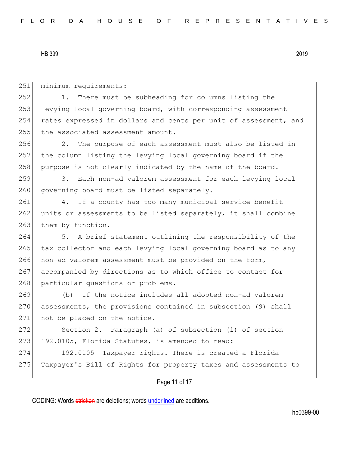251 minimum requirements:

252 1. There must be subheading for columns listing the 253 levying local governing board, with corresponding assessment 254 rates expressed in dollars and cents per unit of assessment, and 255 the associated assessment amount.

256 2. The purpose of each assessment must also be listed in 257 the column listing the levying local governing board if the 258 purpose is not clearly indicated by the name of the board.

259 3. Each non-ad valorem assessment for each levying local 260 governing board must be listed separately.

261 4. If a county has too many municipal service benefit 262 units or assessments to be listed separately, it shall combine 263 them by function.

264 5. A brief statement outlining the responsibility of the 265 tax collector and each levying local governing board as to any 266 non-ad valorem assessment must be provided on the form, 267 accompanied by directions as to which office to contact for 268 particular questions or problems.

269 (b) If the notice includes all adopted non-ad valorem 270 assessments, the provisions contained in subsection (9) shall 271 not be placed on the notice.

272 Section 2. Paragraph (a) of subsection (1) of section  $273$  192.0105, Florida Statutes, is amended to read:

274 192.0105 Taxpayer rights.—There is created a Florida 275 Taxpayer's Bill of Rights for property taxes and assessments to

# Page 11 of 17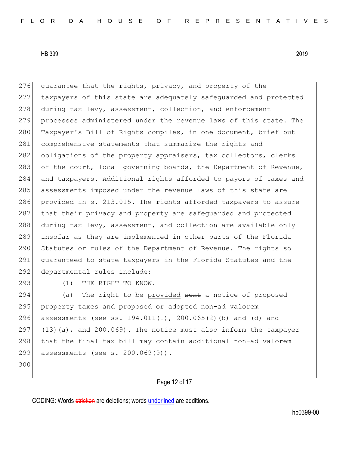276 guarantee that the rights, privacy, and property of the 277 taxpayers of this state are adequately safeguarded and protected 278 during tax levy, assessment, collection, and enforcement 279 processes administered under the revenue laws of this state. The 280 Taxpayer's Bill of Rights compiles, in one document, brief but 281 comprehensive statements that summarize the rights and 282 obligations of the property appraisers, tax collectors, clerks 283 of the court, local governing boards, the Department of Revenue, 284 and taxpayers. Additional rights afforded to payors of taxes and 285 assessments imposed under the revenue laws of this state are 286 provided in s. 213.015. The rights afforded taxpayers to assure 287 that their privacy and property are safeguarded and protected 288 during tax levy, assessment, and collection are available only 289 insofar as they are implemented in other parts of the Florida 290 Statutes or rules of the Department of Revenue. The rights so 291 guaranteed to state taxpayers in the Florida Statutes and the 292 departmental rules include:

293 (1) THE RIGHT TO KNOW.-

294 (a) The right to be provided sent a notice of proposed 295 property taxes and proposed or adopted non-ad valorem 296 assessments (see ss. 194.011(1), 200.065(2)(b) and (d) and 297  $(13)(a)$ , and 200.069). The notice must also inform the taxpayer 298 that the final tax bill may contain additional non-ad valorem 299 assessments (see s. 200.069(9)).

300

Page 12 of 17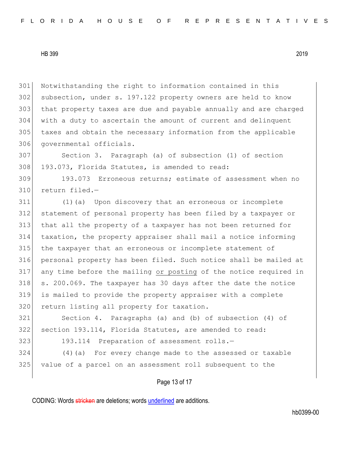Notwithstanding the right to information contained in this 302 subsection, under s. 197.122 property owners are held to know that property taxes are due and payable annually and are charged with a duty to ascertain the amount of current and delinquent taxes and obtain the necessary information from the applicable 306 governmental officials.

 Section 3. Paragraph (a) of subsection (1) of section 308 193.073, Florida Statutes, is amended to read:

 193.073 Erroneous returns; estimate of assessment when no return filed.—

 (1)(a) Upon discovery that an erroneous or incomplete statement of personal property has been filed by a taxpayer or that all the property of a taxpayer has not been returned for taxation, the property appraiser shall mail a notice informing the taxpayer that an erroneous or incomplete statement of personal property has been filed. Such notice shall be mailed at any time before the mailing or posting of the notice required in s. 200.069. The taxpayer has 30 days after the date the notice is mailed to provide the property appraiser with a complete 320 return listing all property for taxation.

 Section 4. Paragraphs (a) and (b) of subsection (4) of section 193.114, Florida Statutes, are amended to read:

323 193.114 Preparation of assessment rolls.-

 (4)(a) For every change made to the assessed or taxable value of a parcel on an assessment roll subsequent to the

Page 13 of 17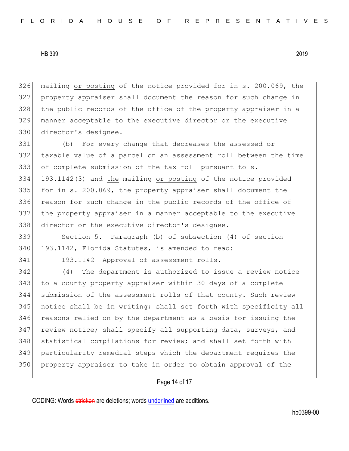mailing or posting of the notice provided for in s. 200.069, the property appraiser shall document the reason for such change in 328 the public records of the office of the property appraiser in a manner acceptable to the executive director or the executive director's designee.

 (b) For every change that decreases the assessed or taxable value of a parcel on an assessment roll between the time of complete submission of the tax roll pursuant to s. 193.1142(3) and the mailing or posting of the notice provided 335 for in s. 200.069, the property appraiser shall document the 336 reason for such change in the public records of the office of the property appraiser in a manner acceptable to the executive 338 director or the executive director's designee.

339 Section 5. Paragraph (b) of subsection (4) of section 340 193.1142, Florida Statutes, is amended to read:

341 193.1142 Approval of assessment rolls.-

342 (4) The department is authorized to issue a review notice to a county property appraiser within 30 days of a complete submission of the assessment rolls of that county. Such review notice shall be in writing; shall set forth with specificity all reasons relied on by the department as a basis for issuing the 347 review notice; shall specify all supporting data, surveys, and 348 statistical compilations for review; and shall set forth with particularity remedial steps which the department requires the property appraiser to take in order to obtain approval of the

# Page 14 of 17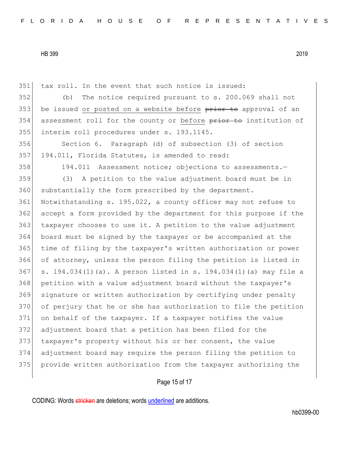tax roll. In the event that such notice is issued: (b) The notice required pursuant to s. 200.069 shall not 353 be issued or posted on a website before prior to approval of an 354 assessment roll for the county or before prior to institution of interim roll procedures under s. 193.1145. Section 6. Paragraph (d) of subsection (3) of section 357 194.011, Florida Statutes, is amended to read: 358 194.011 Assessment notice; objections to assessments. (3) A petition to the value adjustment board must be in 360 substantially the form prescribed by the department. Notwithstanding s. 195.022, a county officer may not refuse to accept a form provided by the department for this purpose if the 363 taxpayer chooses to use it. A petition to the value adjustment board must be signed by the taxpayer or be accompanied at the time of filing by the taxpayer's written authorization or power of attorney, unless the person filing the petition is listed in s. 194.034(1)(a). A person listed in s. 194.034(1)(a) may file a petition with a value adjustment board without the taxpayer's signature or written authorization by certifying under penalty of perjury that he or she has authorization to file the petition on behalf of the taxpayer. If a taxpayer notifies the value adjustment board that a petition has been filed for the 373 taxpayer's property without his or her consent, the value adjustment board may require the person filing the petition to provide written authorization from the taxpayer authorizing the

# Page 15 of 17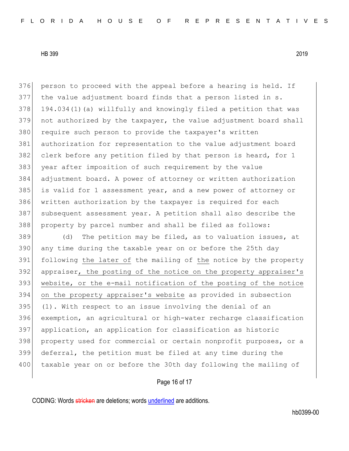376 person to proceed with the appeal before a hearing is held. If the value adjustment board finds that a person listed in s. 194.034(1)(a) willfully and knowingly filed a petition that was not authorized by the taxpayer, the value adjustment board shall 380 require such person to provide the taxpayer's written authorization for representation to the value adjustment board 382 clerk before any petition filed by that person is heard, for 1 year after imposition of such requirement by the value adjustment board. A power of attorney or written authorization is valid for 1 assessment year, and a new power of attorney or 386 written authorization by the taxpayer is required for each subsequent assessment year. A petition shall also describe the property by parcel number and shall be filed as follows:

 (d) The petition may be filed, as to valuation issues, at 390 any time during the taxable year on or before the 25th day following the later of the mailing of the notice by the property appraiser, the posting of the notice on the property appraiser's website, or the e-mail notification of the posting of the notice on the property appraiser's website as provided in subsection (1). With respect to an issue involving the denial of an exemption, an agricultural or high-water recharge classification application, an application for classification as historic 398 property used for commercial or certain nonprofit purposes, or a deferral, the petition must be filed at any time during the 400 taxable year on or before the 30th day following the mailing of

# Page 16 of 17